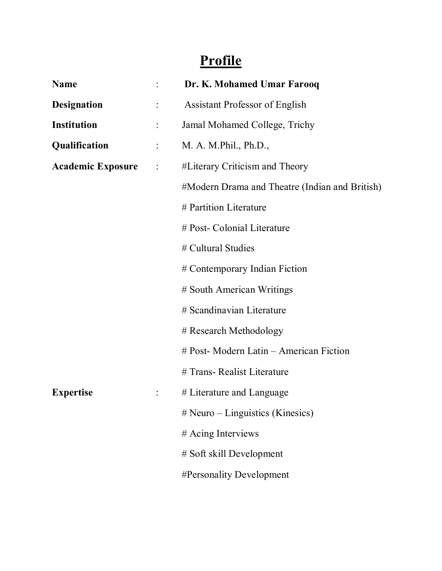## **Profile**

| <b>Name</b>              |                      | Dr. K. Mohamed Umar Farooq                     |
|--------------------------|----------------------|------------------------------------------------|
| <b>Designation</b>       |                      | <b>Assistant Professor of English</b>          |
| <b>Institution</b>       |                      | Jamal Mohamed College, Trichy                  |
| Qualification            |                      | M. A. M.Phil., Ph.D.,                          |
| <b>Academic Exposure</b> | $\ddot{\phantom{a}}$ | #Literary Criticism and Theory                 |
|                          |                      | #Modern Drama and Theatre (Indian and British) |
|                          |                      | # Partition Literature                         |
|                          |                      | # Post- Colonial Literature                    |
|                          |                      | # Cultural Studies                             |
|                          |                      | # Contemporary Indian Fiction                  |
|                          |                      | # South American Writings                      |
|                          |                      | # Scandinavian Literature                      |
|                          |                      | # Research Methodology                         |
|                          |                      | # Post- Modern Latin – American Fiction        |
|                          |                      | # Trans- Realist Literature                    |
| <b>Expertise</b>         |                      | # Literature and Language                      |
|                          |                      | $#$ Neuro – Linguistics (Kinesics)             |
|                          |                      | # Acing Interviews                             |
|                          |                      | # Soft skill Development                       |
|                          |                      | #Personality Development                       |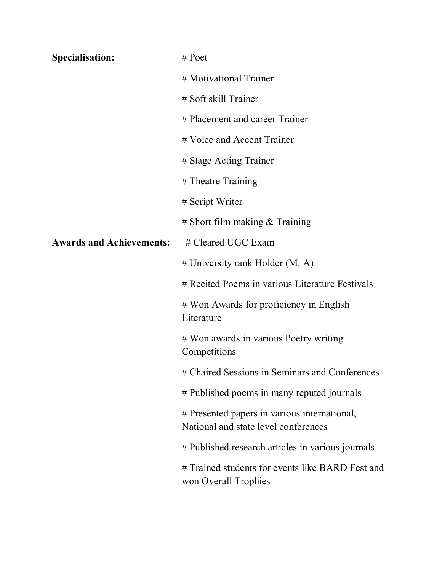| <b>Specialisation:</b>          | $#$ Poet                                                                             |
|---------------------------------|--------------------------------------------------------------------------------------|
|                                 | # Motivational Trainer                                                               |
|                                 | # Soft skill Trainer                                                                 |
|                                 | # Placement and career Trainer                                                       |
|                                 | # Voice and Accent Trainer                                                           |
|                                 | # Stage Acting Trainer                                                               |
|                                 | # Theatre Training                                                                   |
|                                 | # Script Writer                                                                      |
|                                 | # Short film making $&$ Training                                                     |
| <b>Awards and Achievements:</b> | # Cleared UGC Exam                                                                   |
|                                 | $#$ University rank Holder (M. A)                                                    |
|                                 | # Recited Poems in various Literature Festivals                                      |
|                                 | # Won Awards for proficiency in English<br>Literature                                |
|                                 | # Won awards in various Poetry writing<br>Competitions                               |
|                                 | # Chaired Sessions in Seminars and Conferences                                       |
|                                 | # Published poems in many reputed journals                                           |
|                                 | # Presented papers in various international,<br>National and state level conferences |
|                                 | # Published research articles in various journals                                    |
|                                 | # Trained students for events like BARD Fest and<br>won Overall Trophies             |